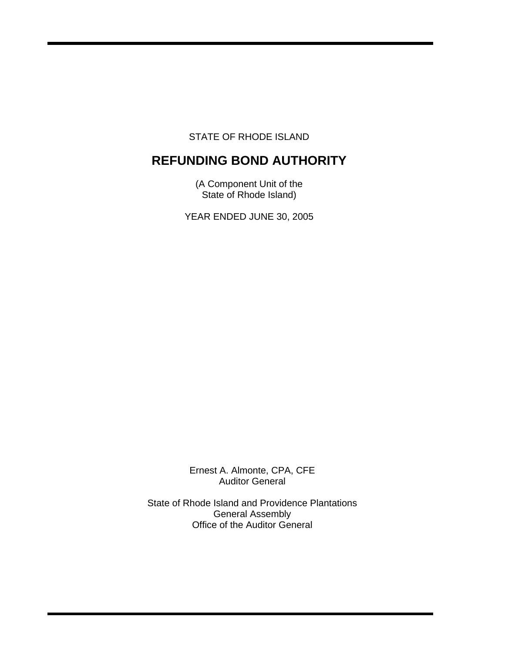STATE OF RHODE ISLAND

# **REFUNDING BOND AUTHORITY**

(A Component Unit of the State of Rhode Island)

YEAR ENDED JUNE 30, 2005

Ernest A. Almonte, CPA, CFE Auditor General

State of Rhode Island and Providence Plantations General Assembly Office of the Auditor General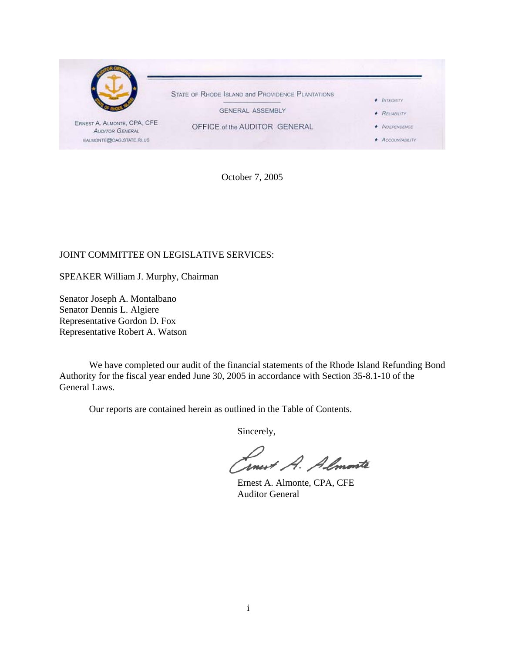

October 7, 2005

## JOINT COMMITTEE ON LEGISLATIVE SERVICES:

SPEAKER William J. Murphy, Chairman

Senator Joseph A. Montalbano Senator Dennis L. Algiere Representative Gordon D. Fox Representative Robert A. Watson

We have completed our audit of the financial statements of the Rhode Island Refunding Bond Authority for the fiscal year ended June 30, 2005 in accordance with Section 35-8.1-10 of the General Laws.

Our reports are contained herein as outlined in the Table of Contents.

Sincerely,

Thest A. Almonte

 Ernest A. Almonte, CPA, CFE Auditor General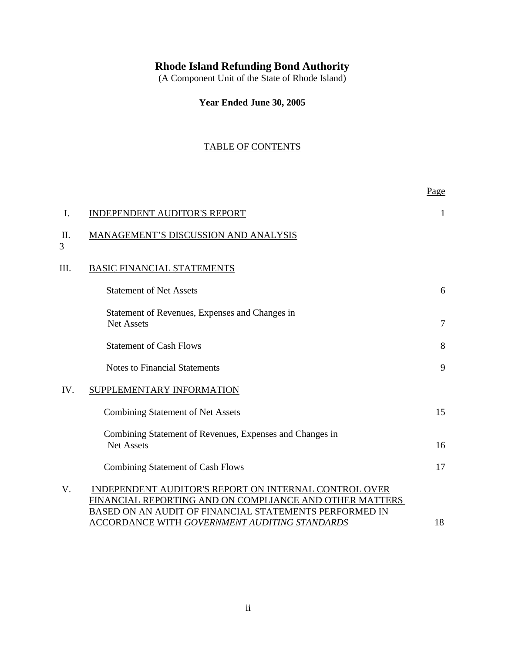## **Rhode Island Refunding Bond Authority**

(A Component Unit of the State of Rhode Island)

**Year Ended June 30, 2005**

## TABLE OF CONTENTS

|         |                                                                                                                                                                                                                                    | Page           |
|---------|------------------------------------------------------------------------------------------------------------------------------------------------------------------------------------------------------------------------------------|----------------|
| I.      | <b>INDEPENDENT AUDITOR'S REPORT</b>                                                                                                                                                                                                | 1              |
| Π.<br>3 | MANAGEMENT'S DISCUSSION AND ANALYSIS                                                                                                                                                                                               |                |
| Ш.      | <b>BASIC FINANCIAL STATEMENTS</b>                                                                                                                                                                                                  |                |
|         | <b>Statement of Net Assets</b>                                                                                                                                                                                                     | 6              |
|         | Statement of Revenues, Expenses and Changes in<br><b>Net Assets</b>                                                                                                                                                                | $\overline{7}$ |
|         | <b>Statement of Cash Flows</b>                                                                                                                                                                                                     | 8              |
|         | <b>Notes to Financial Statements</b>                                                                                                                                                                                               | 9              |
| IV.     | SUPPLEMENTARY INFORMATION                                                                                                                                                                                                          |                |
|         | <b>Combining Statement of Net Assets</b>                                                                                                                                                                                           | 15             |
|         | Combining Statement of Revenues, Expenses and Changes in<br><b>Net Assets</b>                                                                                                                                                      | 16             |
|         | <b>Combining Statement of Cash Flows</b>                                                                                                                                                                                           | 17             |
| V.      | <b>INDEPENDENT AUDITOR'S REPORT ON INTERNAL CONTROL OVER</b><br>FINANCIAL REPORTING AND ON COMPLIANCE AND OTHER MATTERS<br>BASED ON AN AUDIT OF FINANCIAL STATEMENTS PERFORMED IN<br>ACCORDANCE WITH GOVERNMENT AUDITING STANDARDS | 18             |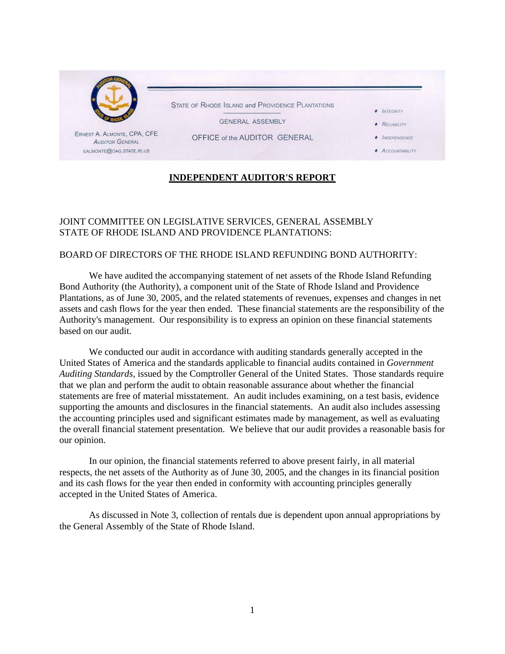

## **INDEPENDENT AUDITOR'S REPORT**

## JOINT COMMITTEE ON LEGISLATIVE SERVICES, GENERAL ASSEMBLY STATE OF RHODE ISLAND AND PROVIDENCE PLANTATIONS:

## BOARD OF DIRECTORS OF THE RHODE ISLAND REFUNDING BOND AUTHORITY:

We have audited the accompanying statement of net assets of the Rhode Island Refunding Bond Authority (the Authority), a component unit of the State of Rhode Island and Providence Plantations, as of June 30, 2005, and the related statements of revenues, expenses and changes in net assets and cash flows for the year then ended. These financial statements are the responsibility of the Authority's management. Our responsibility is to express an opinion on these financial statements based on our audit.

We conducted our audit in accordance with auditing standards generally accepted in the United States of America and the standards applicable to financial audits contained in *Government Auditing Standards,* issued by the Comptroller General of the United States. Those standards require that we plan and perform the audit to obtain reasonable assurance about whether the financial statements are free of material misstatement. An audit includes examining, on a test basis, evidence supporting the amounts and disclosures in the financial statements. An audit also includes assessing the accounting principles used and significant estimates made by management, as well as evaluating the overall financial statement presentation. We believe that our audit provides a reasonable basis for our opinion.

In our opinion, the financial statements referred to above present fairly, in all material respects, the net assets of the Authority as of June 30, 2005, and the changes in its financial position and its cash flows for the year then ended in conformity with accounting principles generally accepted in the United States of America.

As discussed in Note 3, collection of rentals due is dependent upon annual appropriations by the General Assembly of the State of Rhode Island.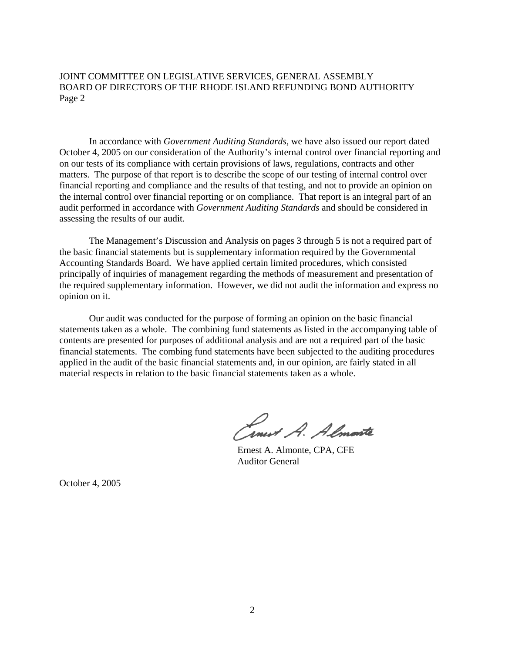JOINT COMMITTEE ON LEGISLATIVE SERVICES, GENERAL ASSEMBLY BOARD OF DIRECTORS OF THE RHODE ISLAND REFUNDING BOND AUTHORITY Page 2

In accordance with *Government Auditing Standards*, we have also issued our report dated October 4, 2005 on our consideration of the Authority's internal control over financial reporting and on our tests of its compliance with certain provisions of laws, regulations, contracts and other matters. The purpose of that report is to describe the scope of our testing of internal control over financial reporting and compliance and the results of that testing, and not to provide an opinion on the internal control over financial reporting or on compliance. That report is an integral part of an audit performed in accordance with *Government Auditing Standards* and should be considered in assessing the results of our audit.

The Management's Discussion and Analysis on pages 3 through 5 is not a required part of the basic financial statements but is supplementary information required by the Governmental Accounting Standards Board. We have applied certain limited procedures, which consisted principally of inquiries of management regarding the methods of measurement and presentation of the required supplementary information. However, we did not audit the information and express no opinion on it.

Our audit was conducted for the purpose of forming an opinion on the basic financial statements taken as a whole. The combining fund statements as listed in the accompanying table of contents are presented for purposes of additional analysis and are not a required part of the basic financial statements. The combing fund statements have been subjected to the auditing procedures applied in the audit of the basic financial statements and, in our opinion, are fairly stated in all material respects in relation to the basic financial statements taken as a whole.

Cinest A. Almonte

 Ernest A. Almonte, CPA, CFE Auditor General

October 4, 2005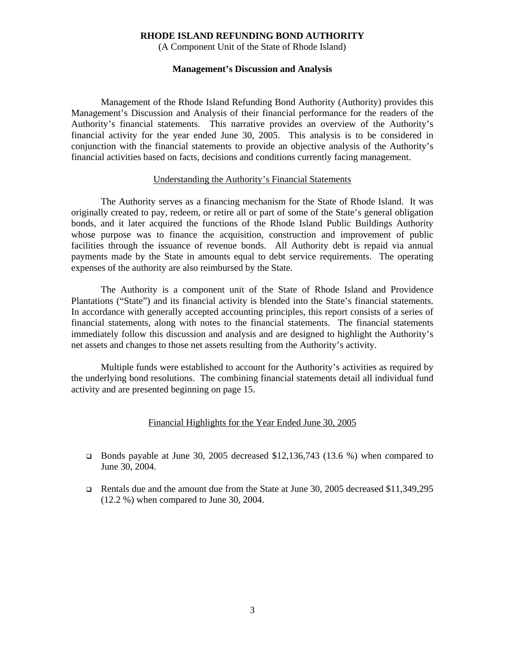(A Component Unit of the State of Rhode Island)

#### **Management's Discussion and Analysis**

Management of the Rhode Island Refunding Bond Authority (Authority) provides this Management's Discussion and Analysis of their financial performance for the readers of the Authority's financial statements. This narrative provides an overview of the Authority's financial activity for the year ended June 30, 2005. This analysis is to be considered in conjunction with the financial statements to provide an objective analysis of the Authority's financial activities based on facts, decisions and conditions currently facing management.

#### Understanding the Authority's Financial Statements

The Authority serves as a financing mechanism for the State of Rhode Island. It was originally created to pay, redeem, or retire all or part of some of the State's general obligation bonds, and it later acquired the functions of the Rhode Island Public Buildings Authority whose purpose was to finance the acquisition, construction and improvement of public facilities through the issuance of revenue bonds. All Authority debt is repaid via annual payments made by the State in amounts equal to debt service requirements. The operating expenses of the authority are also reimbursed by the State.

The Authority is a component unit of the State of Rhode Island and Providence Plantations ("State") and its financial activity is blended into the State's financial statements. In accordance with generally accepted accounting principles, this report consists of a series of financial statements, along with notes to the financial statements. The financial statements immediately follow this discussion and analysis and are designed to highlight the Authority's net assets and changes to those net assets resulting from the Authority's activity.

Multiple funds were established to account for the Authority's activities as required by the underlying bond resolutions. The combining financial statements detail all individual fund activity and are presented beginning on page 15.

### Financial Highlights for the Year Ended June 30, 2005

- Bonds payable at June 30, 2005 decreased \$12,136,743 (13.6 %) when compared to June 30, 2004.
- Rentals due and the amount due from the State at June 30, 2005 decreased \$11,349,295 (12.2 %) when compared to June 30, 2004.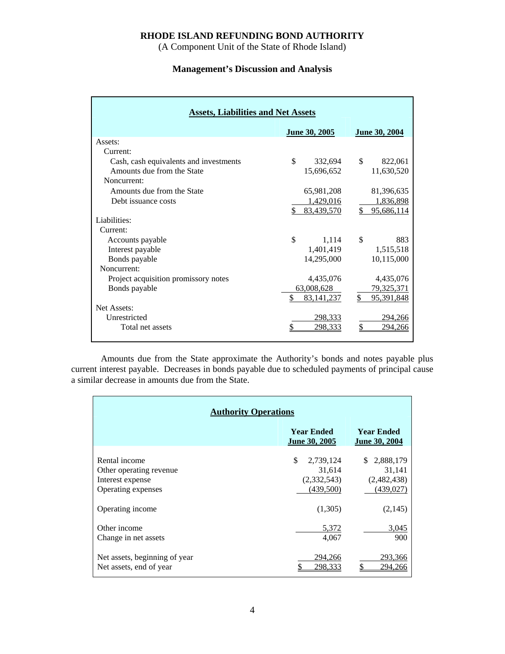(A Component Unit of the State of Rhode Island)

## **Management's Discussion and Analysis**

| <b>Assets, Liabilities and Net Assets</b> |                    |                  |
|-------------------------------------------|--------------------|------------------|
|                                           | June 30, 2005      | June 30, 2004    |
| Assets:                                   |                    |                  |
| Current:                                  |                    |                  |
| Cash, cash equivalents and investments    | \$<br>332,694      | \$<br>822,061    |
| Amounts due from the State                | 15,696,652         | 11,630,520       |
| Noncurrent:                               |                    |                  |
| Amounts due from the State                | 65,981,208         | 81,396,635       |
| Debt issuance costs                       | <u>1,429,016</u>   | 1,836,898        |
|                                           | 83,439,570         | \$<br>95,686,114 |
| Liabilities:                              |                    |                  |
| Current:                                  |                    |                  |
| Accounts payable                          | \$<br>1,114        | \$<br>883        |
| Interest payable                          | 1,401,419          | 1,515,518        |
| Bonds payable                             | 14,295,000         | 10,115,000       |
| Noncurrent:                               |                    |                  |
| Project acquisition promissory notes      | 4,435,076          | 4,435,076        |
| Bonds payable                             | 63,008,628         | 79,325,371       |
|                                           | \$<br>83, 141, 237 | \$<br>95,391,848 |
| Net Assets:                               |                    |                  |
| Unrestricted                              | 298,333            | 294,266          |
| Total net assets                          | 298,333            | 294,266          |
|                                           |                    |                  |

Amounts due from the State approximate the Authority's bonds and notes payable plus current interest payable. Decreases in bonds payable due to scheduled payments of principal cause a similar decrease in amounts due from the State.

| <b>Authority Operations</b>                                                        |                                                       |                                                         |  |  |  |
|------------------------------------------------------------------------------------|-------------------------------------------------------|---------------------------------------------------------|--|--|--|
|                                                                                    | <b>Year Ended</b><br>June 30, 2005                    | <b>Year Ended</b><br>June 30, 2004                      |  |  |  |
| Rental income<br>Other operating revenue<br>Interest expense<br>Operating expenses | \$<br>2,739,124<br>31,614<br>(2,332,543)<br>(439,500) | 2,888,179<br>\$.<br>31,141<br>(2,482,438)<br>(439, 027) |  |  |  |
| Operating income                                                                   | (1,305)                                               | (2,145)                                                 |  |  |  |
| Other income<br>Change in net assets                                               | 5,372<br>4,067                                        | 3,045<br>900                                            |  |  |  |
| Net assets, beginning of year<br>Net assets, end of year                           | 294,266<br>298.333                                    | 293,366<br>294,266                                      |  |  |  |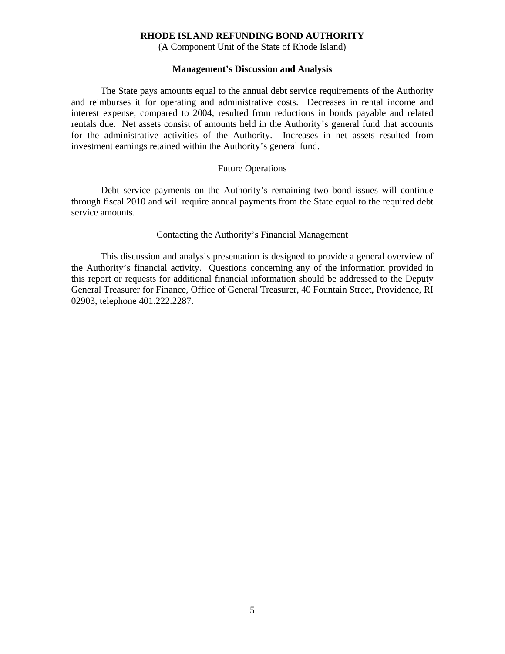(A Component Unit of the State of Rhode Island)

#### **Management's Discussion and Analysis**

The State pays amounts equal to the annual debt service requirements of the Authority and reimburses it for operating and administrative costs. Decreases in rental income and interest expense, compared to 2004, resulted from reductions in bonds payable and related rentals due. Net assets consist of amounts held in the Authority's general fund that accounts for the administrative activities of the Authority. Increases in net assets resulted from investment earnings retained within the Authority's general fund.

#### Future Operations

Debt service payments on the Authority's remaining two bond issues will continue through fiscal 2010 and will require annual payments from the State equal to the required debt service amounts.

#### Contacting the Authority's Financial Management

This discussion and analysis presentation is designed to provide a general overview of the Authority's financial activity. Questions concerning any of the information provided in this report or requests for additional financial information should be addressed to the Deputy General Treasurer for Finance, Office of General Treasurer, 40 Fountain Street, Providence, RI 02903, telephone 401.222.2287.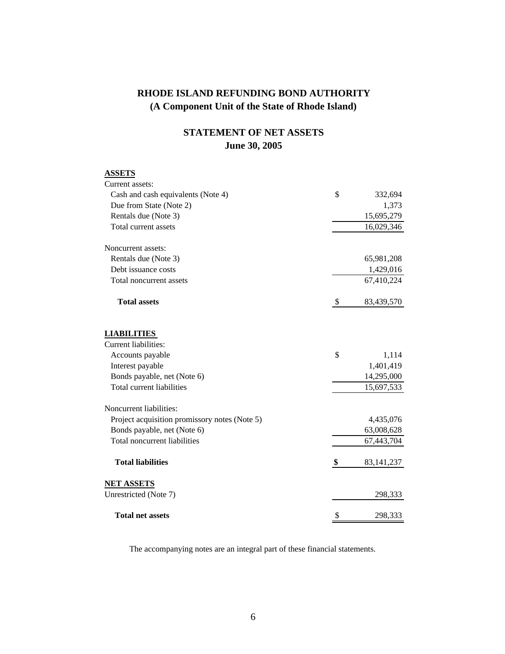## **RHODE ISLAND REFUNDING BOND AUTHORITY (A Component Unit of the State of Rhode Island)**

## **STATEMENT OF NET ASSETS June 30, 2005**

| <b>ASSETS</b>                                   |                          |
|-------------------------------------------------|--------------------------|
| Current assets:                                 |                          |
| Cash and cash equivalents (Note 4)              | \$<br>332,694            |
| Due from State (Note 2)                         | 1,373                    |
| Rentals due (Note 3)                            | 15,695,279               |
| Total current assets                            | 16,029,346               |
| Noncurrent assets:                              |                          |
| Rentals due (Note 3)                            | 65,981,208               |
| Debt issuance costs                             | 1,429,016                |
| Total noncurrent assets                         | 67,410,224               |
| <b>Total assets</b>                             | \$<br>83,439,570         |
| <b>LIABILITIES</b>                              |                          |
| Current liabilities:                            |                          |
| Accounts payable                                | \$<br>1,114<br>1,401,419 |
| Interest payable<br>Bonds payable, net (Note 6) | 14,295,000               |
| Total current liabilities                       | 15,697,533               |
| Noncurrent liabilities:                         |                          |
| Project acquisition promissory notes (Note 5)   | 4,435,076                |
| Bonds payable, net (Note 6)                     | 63,008,628               |
| Total noncurrent liabilities                    | 67,443,704               |
| <b>Total liabilities</b>                        | \$<br>83, 141, 237       |
| <b>NET ASSETS</b>                               |                          |
| Unrestricted (Note 7)                           | 298,333                  |
| <b>Total net assets</b>                         | \$<br>298,333            |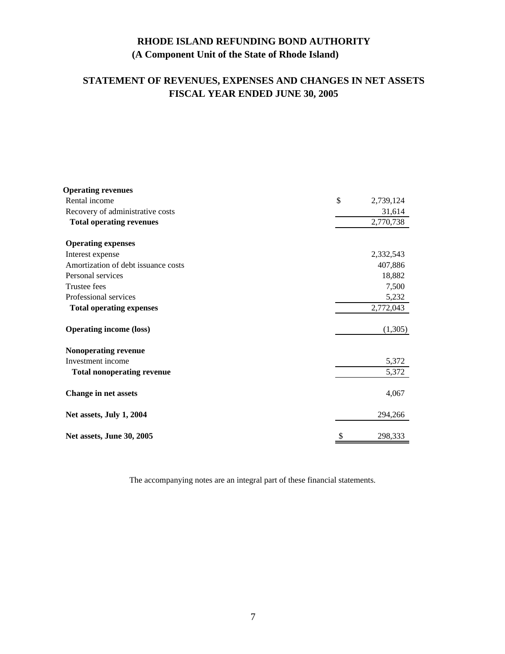## **RHODE ISLAND REFUNDING BOND AUTHORITY (A Component Unit of the State of Rhode Island)**

## **STATEMENT OF REVENUES, EXPENSES AND CHANGES IN NET ASSETS FISCAL YEAR ENDED JUNE 30, 2005**

| <b>Operating revenues</b>           |                 |
|-------------------------------------|-----------------|
| Rental income                       | \$<br>2,739,124 |
| Recovery of administrative costs    | 31,614          |
| <b>Total operating revenues</b>     | 2,770,738       |
| <b>Operating expenses</b>           |                 |
| Interest expense                    | 2,332,543       |
| Amortization of debt issuance costs | 407,886         |
| Personal services                   | 18,882          |
| Trustee fees                        | 7,500           |
| Professional services               | 5,232           |
| <b>Total operating expenses</b>     | 2,772,043       |
| <b>Operating income (loss)</b>      | (1,305)         |
| Nonoperating revenue                |                 |
| Investment income                   | 5,372           |
| <b>Total nonoperating revenue</b>   | 5,372           |
| <b>Change in net assets</b>         | 4,067           |
| Net assets, July 1, 2004            | 294,266         |
| Net assets, June 30, 2005           | 298,333         |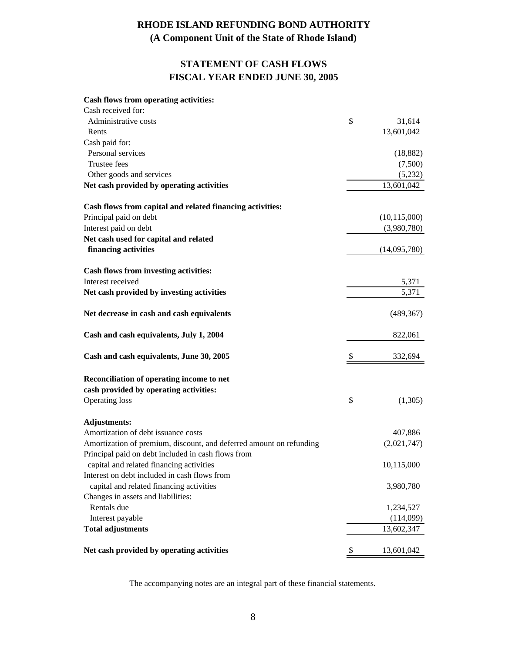## **RHODE ISLAND REFUNDING BOND AUTHORITY (A Component Unit of the State of Rhode Island)**

## **STATEMENT OF CASH FLOWS FISCAL YEAR ENDED JUNE 30, 2005**

# **Cash flows from operating activities:**

| \$<br>Administrative costs<br>31,614<br>13,601,042<br>Rents<br>Cash paid for:<br>Personal services<br>Trustee fees<br>Other goods and services<br>Net cash provided by operating activities<br>13,601,042<br>Cash flows from capital and related financing activities:<br>Principal paid on debt<br>Interest paid on debt<br>Net cash used for capital and related<br>financing activities<br>(14,095,780)<br><b>Cash flows from investing activities:</b><br>Interest received<br>5,371<br>Net cash provided by investing activities<br>5,371<br>Net decrease in cash and cash equivalents<br>(489, 367)<br>Cash and cash equivalents, July 1, 2004<br>822,061<br>Cash and cash equivalents, June 30, 2005<br>S<br>332,694<br>Reconciliation of operating income to net<br>cash provided by operating activities:<br>\$<br><b>Operating loss</b><br><b>Adjustments:</b><br>Amortization of debt issuance costs<br>407,886<br>Amortization of premium, discount, and deferred amount on refunding<br>(2,021,747)<br>Principal paid on debt included in cash flows from<br>capital and related financing activities<br>10,115,000<br>Interest on debt included in cash flows from<br>capital and related financing activities<br>3,980,780<br>Changes in assets and liabilities: | Cash received for: |                |
|---------------------------------------------------------------------------------------------------------------------------------------------------------------------------------------------------------------------------------------------------------------------------------------------------------------------------------------------------------------------------------------------------------------------------------------------------------------------------------------------------------------------------------------------------------------------------------------------------------------------------------------------------------------------------------------------------------------------------------------------------------------------------------------------------------------------------------------------------------------------------------------------------------------------------------------------------------------------------------------------------------------------------------------------------------------------------------------------------------------------------------------------------------------------------------------------------------------------------------------------------------------------------------|--------------------|----------------|
|                                                                                                                                                                                                                                                                                                                                                                                                                                                                                                                                                                                                                                                                                                                                                                                                                                                                                                                                                                                                                                                                                                                                                                                                                                                                                 |                    |                |
|                                                                                                                                                                                                                                                                                                                                                                                                                                                                                                                                                                                                                                                                                                                                                                                                                                                                                                                                                                                                                                                                                                                                                                                                                                                                                 |                    |                |
|                                                                                                                                                                                                                                                                                                                                                                                                                                                                                                                                                                                                                                                                                                                                                                                                                                                                                                                                                                                                                                                                                                                                                                                                                                                                                 |                    |                |
|                                                                                                                                                                                                                                                                                                                                                                                                                                                                                                                                                                                                                                                                                                                                                                                                                                                                                                                                                                                                                                                                                                                                                                                                                                                                                 |                    | (18, 882)      |
|                                                                                                                                                                                                                                                                                                                                                                                                                                                                                                                                                                                                                                                                                                                                                                                                                                                                                                                                                                                                                                                                                                                                                                                                                                                                                 |                    | (7,500)        |
|                                                                                                                                                                                                                                                                                                                                                                                                                                                                                                                                                                                                                                                                                                                                                                                                                                                                                                                                                                                                                                                                                                                                                                                                                                                                                 |                    | (5,232)        |
|                                                                                                                                                                                                                                                                                                                                                                                                                                                                                                                                                                                                                                                                                                                                                                                                                                                                                                                                                                                                                                                                                                                                                                                                                                                                                 |                    |                |
|                                                                                                                                                                                                                                                                                                                                                                                                                                                                                                                                                                                                                                                                                                                                                                                                                                                                                                                                                                                                                                                                                                                                                                                                                                                                                 |                    |                |
|                                                                                                                                                                                                                                                                                                                                                                                                                                                                                                                                                                                                                                                                                                                                                                                                                                                                                                                                                                                                                                                                                                                                                                                                                                                                                 |                    | (10, 115, 000) |
|                                                                                                                                                                                                                                                                                                                                                                                                                                                                                                                                                                                                                                                                                                                                                                                                                                                                                                                                                                                                                                                                                                                                                                                                                                                                                 |                    | (3,980,780)    |
|                                                                                                                                                                                                                                                                                                                                                                                                                                                                                                                                                                                                                                                                                                                                                                                                                                                                                                                                                                                                                                                                                                                                                                                                                                                                                 |                    |                |
|                                                                                                                                                                                                                                                                                                                                                                                                                                                                                                                                                                                                                                                                                                                                                                                                                                                                                                                                                                                                                                                                                                                                                                                                                                                                                 |                    |                |
|                                                                                                                                                                                                                                                                                                                                                                                                                                                                                                                                                                                                                                                                                                                                                                                                                                                                                                                                                                                                                                                                                                                                                                                                                                                                                 |                    |                |
|                                                                                                                                                                                                                                                                                                                                                                                                                                                                                                                                                                                                                                                                                                                                                                                                                                                                                                                                                                                                                                                                                                                                                                                                                                                                                 |                    |                |
|                                                                                                                                                                                                                                                                                                                                                                                                                                                                                                                                                                                                                                                                                                                                                                                                                                                                                                                                                                                                                                                                                                                                                                                                                                                                                 |                    |                |
|                                                                                                                                                                                                                                                                                                                                                                                                                                                                                                                                                                                                                                                                                                                                                                                                                                                                                                                                                                                                                                                                                                                                                                                                                                                                                 |                    |                |
|                                                                                                                                                                                                                                                                                                                                                                                                                                                                                                                                                                                                                                                                                                                                                                                                                                                                                                                                                                                                                                                                                                                                                                                                                                                                                 |                    |                |
|                                                                                                                                                                                                                                                                                                                                                                                                                                                                                                                                                                                                                                                                                                                                                                                                                                                                                                                                                                                                                                                                                                                                                                                                                                                                                 |                    |                |
|                                                                                                                                                                                                                                                                                                                                                                                                                                                                                                                                                                                                                                                                                                                                                                                                                                                                                                                                                                                                                                                                                                                                                                                                                                                                                 |                    |                |
|                                                                                                                                                                                                                                                                                                                                                                                                                                                                                                                                                                                                                                                                                                                                                                                                                                                                                                                                                                                                                                                                                                                                                                                                                                                                                 |                    |                |
|                                                                                                                                                                                                                                                                                                                                                                                                                                                                                                                                                                                                                                                                                                                                                                                                                                                                                                                                                                                                                                                                                                                                                                                                                                                                                 |                    | (1,305)        |
|                                                                                                                                                                                                                                                                                                                                                                                                                                                                                                                                                                                                                                                                                                                                                                                                                                                                                                                                                                                                                                                                                                                                                                                                                                                                                 |                    |                |
|                                                                                                                                                                                                                                                                                                                                                                                                                                                                                                                                                                                                                                                                                                                                                                                                                                                                                                                                                                                                                                                                                                                                                                                                                                                                                 |                    |                |
|                                                                                                                                                                                                                                                                                                                                                                                                                                                                                                                                                                                                                                                                                                                                                                                                                                                                                                                                                                                                                                                                                                                                                                                                                                                                                 |                    |                |
|                                                                                                                                                                                                                                                                                                                                                                                                                                                                                                                                                                                                                                                                                                                                                                                                                                                                                                                                                                                                                                                                                                                                                                                                                                                                                 |                    |                |
|                                                                                                                                                                                                                                                                                                                                                                                                                                                                                                                                                                                                                                                                                                                                                                                                                                                                                                                                                                                                                                                                                                                                                                                                                                                                                 |                    |                |
|                                                                                                                                                                                                                                                                                                                                                                                                                                                                                                                                                                                                                                                                                                                                                                                                                                                                                                                                                                                                                                                                                                                                                                                                                                                                                 |                    |                |
|                                                                                                                                                                                                                                                                                                                                                                                                                                                                                                                                                                                                                                                                                                                                                                                                                                                                                                                                                                                                                                                                                                                                                                                                                                                                                 |                    |                |
|                                                                                                                                                                                                                                                                                                                                                                                                                                                                                                                                                                                                                                                                                                                                                                                                                                                                                                                                                                                                                                                                                                                                                                                                                                                                                 |                    |                |
| Rentals due<br>1,234,527                                                                                                                                                                                                                                                                                                                                                                                                                                                                                                                                                                                                                                                                                                                                                                                                                                                                                                                                                                                                                                                                                                                                                                                                                                                        |                    |                |
| Interest payable<br>(114,099)                                                                                                                                                                                                                                                                                                                                                                                                                                                                                                                                                                                                                                                                                                                                                                                                                                                                                                                                                                                                                                                                                                                                                                                                                                                   |                    |                |
| <b>Total adjustments</b><br>13,602,347                                                                                                                                                                                                                                                                                                                                                                                                                                                                                                                                                                                                                                                                                                                                                                                                                                                                                                                                                                                                                                                                                                                                                                                                                                          |                    |                |
| Net cash provided by operating activities<br>\$<br>13,601,042                                                                                                                                                                                                                                                                                                                                                                                                                                                                                                                                                                                                                                                                                                                                                                                                                                                                                                                                                                                                                                                                                                                                                                                                                   |                    |                |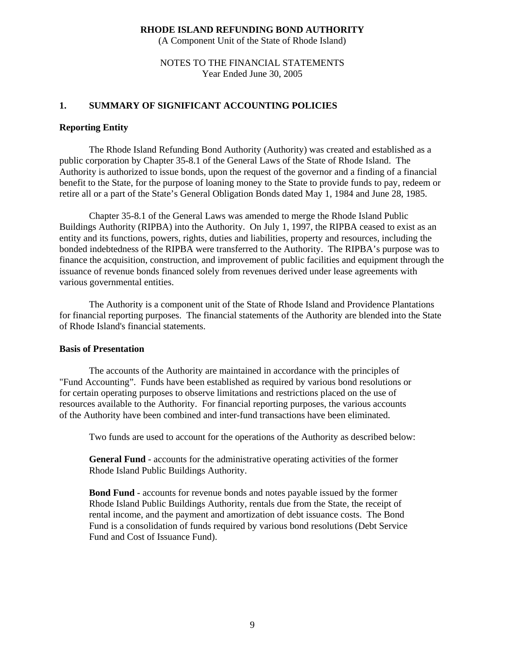(A Component Unit of the State of Rhode Island)

## NOTES TO THE FINANCIAL STATEMENTS Year Ended June 30, 2005

## **1. SUMMARY OF SIGNIFICANT ACCOUNTING POLICIES**

## **Reporting Entity**

The Rhode Island Refunding Bond Authority (Authority) was created and established as a public corporation by Chapter 35-8.1 of the General Laws of the State of Rhode Island. The Authority is authorized to issue bonds, upon the request of the governor and a finding of a financial benefit to the State, for the purpose of loaning money to the State to provide funds to pay, redeem or retire all or a part of the State's General Obligation Bonds dated May 1, 1984 and June 28, 1985.

Chapter 35-8.1 of the General Laws was amended to merge the Rhode Island Public Buildings Authority (RIPBA) into the Authority. On July 1, 1997, the RIPBA ceased to exist as an entity and its functions, powers, rights, duties and liabilities, property and resources, including the bonded indebtedness of the RIPBA were transferred to the Authority. The RIPBA's purpose was to finance the acquisition, construction, and improvement of public facilities and equipment through the issuance of revenue bonds financed solely from revenues derived under lease agreements with various governmental entities.

 The Authority is a component unit of the State of Rhode Island and Providence Plantations for financial reporting purposes. The financial statements of the Authority are blended into the State of Rhode Island's financial statements.

## **Basis of Presentation**

The accounts of the Authority are maintained in accordance with the principles of "Fund Accounting". Funds have been established as required by various bond resolutions or for certain operating purposes to observe limitations and restrictions placed on the use of resources available to the Authority. For financial reporting purposes, the various accounts of the Authority have been combined and inter-fund transactions have been eliminated.

Two funds are used to account for the operations of the Authority as described below:

 **General Fund** - accounts for the administrative operating activities of the former Rhode Island Public Buildings Authority.

 **Bond Fund** - accounts for revenue bonds and notes payable issued by the former Rhode Island Public Buildings Authority, rentals due from the State, the receipt of rental income, and the payment and amortization of debt issuance costs. The Bond Fund is a consolidation of funds required by various bond resolutions (Debt Service Fund and Cost of Issuance Fund).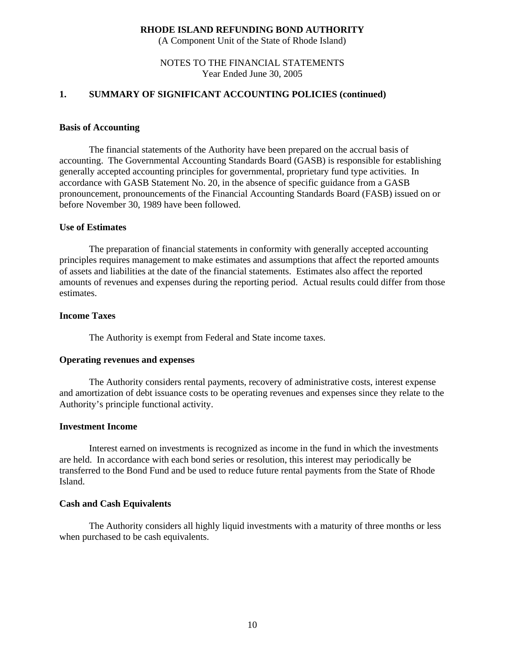(A Component Unit of the State of Rhode Island)

## NOTES TO THE FINANCIAL STATEMENTS Year Ended June 30, 2005

## **1. SUMMARY OF SIGNIFICANT ACCOUNTING POLICIES (continued)**

#### **Basis of Accounting**

The financial statements of the Authority have been prepared on the accrual basis of accounting. The Governmental Accounting Standards Board (GASB) is responsible for establishing generally accepted accounting principles for governmental, proprietary fund type activities. In accordance with GASB Statement No. 20, in the absence of specific guidance from a GASB pronouncement, pronouncements of the Financial Accounting Standards Board (FASB) issued on or before November 30, 1989 have been followed.

#### **Use of Estimates**

 The preparation of financial statements in conformity with generally accepted accounting principles requires management to make estimates and assumptions that affect the reported amounts of assets and liabilities at the date of the financial statements. Estimates also affect the reported amounts of revenues and expenses during the reporting period. Actual results could differ from those estimates.

#### **Income Taxes**

The Authority is exempt from Federal and State income taxes.

#### **Operating revenues and expenses**

The Authority considers rental payments, recovery of administrative costs, interest expense and amortization of debt issuance costs to be operating revenues and expenses since they relate to the Authority's principle functional activity.

#### **Investment Income**

Interest earned on investments is recognized as income in the fund in which the investments are held. In accordance with each bond series or resolution, this interest may periodically be transferred to the Bond Fund and be used to reduce future rental payments from the State of Rhode Island.

#### **Cash and Cash Equivalents**

 The Authority considers all highly liquid investments with a maturity of three months or less when purchased to be cash equivalents.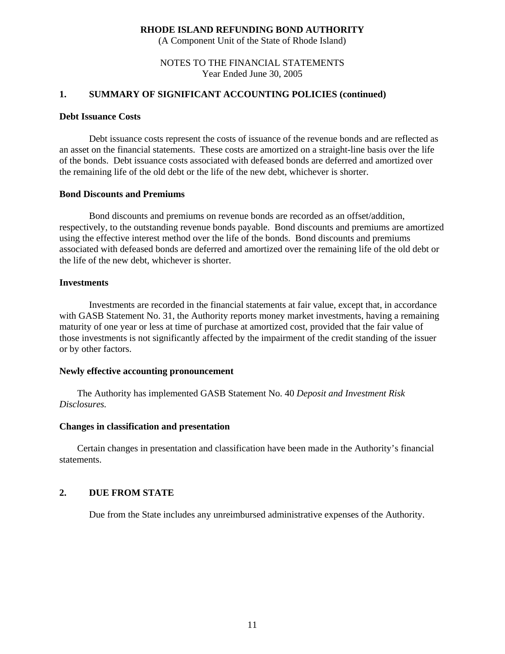(A Component Unit of the State of Rhode Island)

NOTES TO THE FINANCIAL STATEMENTS Year Ended June 30, 2005

## **1. SUMMARY OF SIGNIFICANT ACCOUNTING POLICIES (continued)**

#### **Debt Issuance Costs**

 Debt issuance costs represent the costs of issuance of the revenue bonds and are reflected as an asset on the financial statements. These costs are amortized on a straight-line basis over the life of the bonds. Debt issuance costs associated with defeased bonds are deferred and amortized over the remaining life of the old debt or the life of the new debt, whichever is shorter.

## **Bond Discounts and Premiums**

 Bond discounts and premiums on revenue bonds are recorded as an offset/addition, respectively, to the outstanding revenue bonds payable. Bond discounts and premiums are amortized using the effective interest method over the life of the bonds. Bond discounts and premiums associated with defeased bonds are deferred and amortized over the remaining life of the old debt or the life of the new debt, whichever is shorter.

## **Investments**

 Investments are recorded in the financial statements at fair value, except that, in accordance with GASB Statement No. 31, the Authority reports money market investments, having a remaining maturity of one year or less at time of purchase at amortized cost, provided that the fair value of those investments is not significantly affected by the impairment of the credit standing of the issuer or by other factors.

## **Newly effective accounting pronouncement**

The Authority has implemented GASB Statement No. 40 *Deposit and Investment Risk Disclosures.* 

## **Changes in classification and presentation**

 Certain changes in presentation and classification have been made in the Authority's financial statements.

## **2. DUE FROM STATE**

Due from the State includes any unreimbursed administrative expenses of the Authority.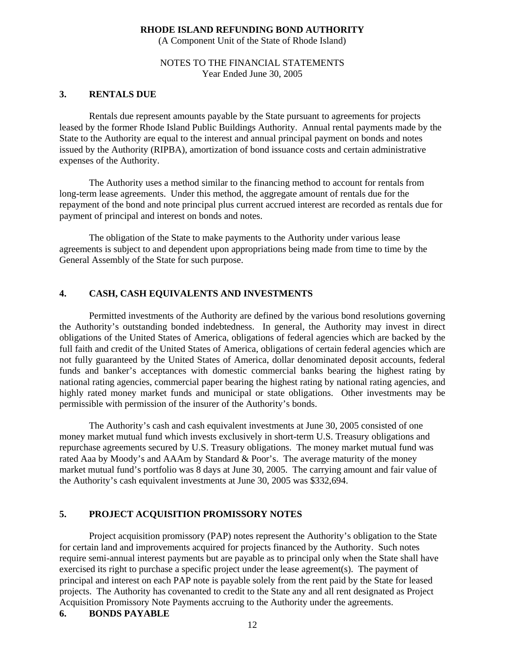(A Component Unit of the State of Rhode Island)

## NOTES TO THE FINANCIAL STATEMENTS Year Ended June 30, 2005

## **3. RENTALS DUE**

Rentals due represent amounts payable by the State pursuant to agreements for projects leased by the former Rhode Island Public Buildings Authority. Annual rental payments made by the State to the Authority are equal to the interest and annual principal payment on bonds and notes issued by the Authority (RIPBA), amortization of bond issuance costs and certain administrative expenses of the Authority.

The Authority uses a method similar to the financing method to account for rentals from long-term lease agreements. Under this method, the aggregate amount of rentals due for the repayment of the bond and note principal plus current accrued interest are recorded as rentals due for payment of principal and interest on bonds and notes.

The obligation of the State to make payments to the Authority under various lease agreements is subject to and dependent upon appropriations being made from time to time by the General Assembly of the State for such purpose.

## **4. CASH, CASH EQUIVALENTS AND INVESTMENTS**

Permitted investments of the Authority are defined by the various bond resolutions governing the Authority's outstanding bonded indebtedness. In general, the Authority may invest in direct obligations of the United States of America, obligations of federal agencies which are backed by the full faith and credit of the United States of America, obligations of certain federal agencies which are not fully guaranteed by the United States of America, dollar denominated deposit accounts, federal funds and banker's acceptances with domestic commercial banks bearing the highest rating by national rating agencies, commercial paper bearing the highest rating by national rating agencies, and highly rated money market funds and municipal or state obligations. Other investments may be permissible with permission of the insurer of the Authority's bonds.

The Authority's cash and cash equivalent investments at June 30, 2005 consisted of one money market mutual fund which invests exclusively in short-term U.S. Treasury obligations and repurchase agreements secured by U.S. Treasury obligations. The money market mutual fund was rated Aaa by Moody's and AAAm by Standard & Poor's. The average maturity of the money market mutual fund's portfolio was 8 days at June 30, 2005. The carrying amount and fair value of the Authority's cash equivalent investments at June 30, 2005 was \$332,694.

## **5. PROJECT ACQUISITION PROMISSORY NOTES**

 Project acquisition promissory (PAP) notes represent the Authority's obligation to the State for certain land and improvements acquired for projects financed by the Authority. Such notes require semi-annual interest payments but are payable as to principal only when the State shall have exercised its right to purchase a specific project under the lease agreement(s). The payment of principal and interest on each PAP note is payable solely from the rent paid by the State for leased projects. The Authority has covenanted to credit to the State any and all rent designated as Project Acquisition Promissory Note Payments accruing to the Authority under the agreements.

## **6. BONDS PAYABLE**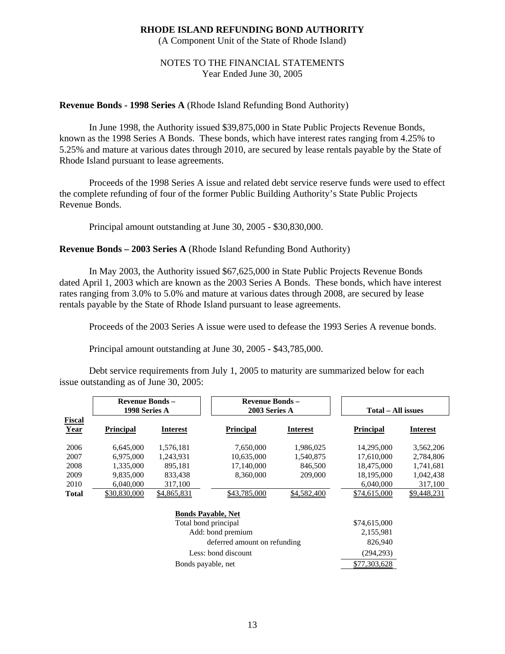(A Component Unit of the State of Rhode Island)

## NOTES TO THE FINANCIAL STATEMENTS Year Ended June 30, 2005

## **Revenue Bonds - 1998 Series A** (Rhode Island Refunding Bond Authority)

 In June 1998, the Authority issued \$39,875,000 in State Public Projects Revenue Bonds, known as the 1998 Series A Bonds. These bonds, which have interest rates ranging from 4.25% to 5.25% and mature at various dates through 2010, are secured by lease rentals payable by the State of Rhode Island pursuant to lease agreements.

 Proceeds of the 1998 Series A issue and related debt service reserve funds were used to effect the complete refunding of four of the former Public Building Authority's State Public Projects Revenue Bonds.

Principal amount outstanding at June 30, 2005 - \$30,830,000.

## **Revenue Bonds – 2003 Series A** (Rhode Island Refunding Bond Authority)

In May 2003, the Authority issued \$67,625,000 in State Public Projects Revenue Bonds dated April 1, 2003 which are known as the 2003 Series A Bonds. These bonds, which have interest rates ranging from 3.0% to 5.0% and mature at various dates through 2008, are secured by lease rentals payable by the State of Rhode Island pursuant to lease agreements.

Proceeds of the 2003 Series A issue were used to defease the 1993 Series A revenue bonds.

Principal amount outstanding at June 30, 2005 - \$43,785,000.

Debt service requirements from July 1, 2005 to maturity are summarized below for each issue outstanding as of June 30, 2005:

|                       | <b>Revenue Bonds -</b><br>1998 Series A |                           | <b>Revenue Bonds -</b><br>2003 Series A |                 | <b>Total – All issues</b> |                 |
|-----------------------|-----------------------------------------|---------------------------|-----------------------------------------|-----------------|---------------------------|-----------------|
| <u>Fiscal</u><br>Year | <b>Principal</b>                        | <b>Interest</b>           | <b>Principal</b>                        | <b>Interest</b> | <b>Principal</b>          | <b>Interest</b> |
| 2006                  | 6,645,000                               | 1,576,181                 | 7,650,000                               | 1,986,025       | 14,295,000                | 3,562,206       |
| 2007                  | 6,975,000                               | 1,243,931                 | 10,635,000                              | 1,540,875       | 17,610,000                | 2,784,806       |
| 2008                  | 1,335,000                               | 895,181                   | 17,140,000                              | 846,500         | 18,475,000                | 1,741,681       |
| 2009                  | 9,835,000                               | 833,438                   | 8,360,000                               | 209,000         | 18,195,000                | 1,042,438       |
| 2010                  | 6,040,000                               | 317,100                   |                                         |                 | 6,040,000                 | 317,100         |
| Total                 | \$30,830,000                            | \$4,865,831               | \$43,785,000                            | \$4,582,400     | \$74,615,000              | \$9,448,231     |
|                       |                                         | <b>Bonds Payable, Net</b> |                                         |                 |                           |                 |
|                       | Total bond principal                    |                           |                                         |                 | \$74,615,000              |                 |
|                       |                                         | Add: bond premium         | 2,155,981                               |                 |                           |                 |
|                       | deferred amount on refunding            |                           |                                         |                 | 826,940                   |                 |
|                       | Less: bond discount                     |                           |                                         |                 | (294, 293)                |                 |
|                       |                                         | Bonds payable, net        | \$77,303,628                            |                 |                           |                 |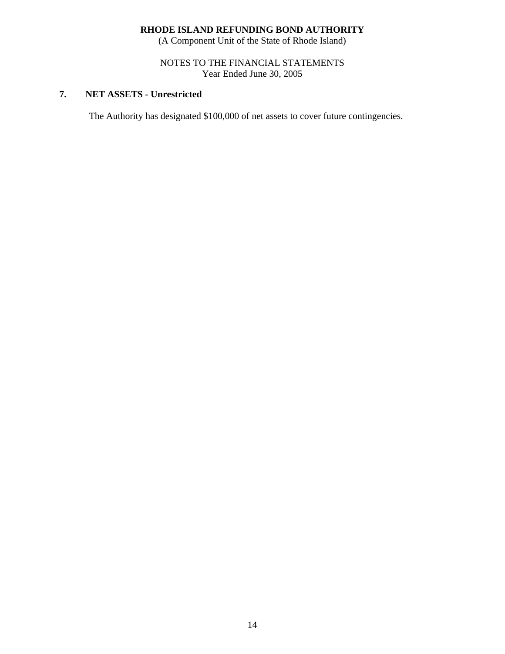(A Component Unit of the State of Rhode Island)

## NOTES TO THE FINANCIAL STATEMENTS Year Ended June 30, 2005

## **7. NET ASSETS - Unrestricted**

The Authority has designated \$100,000 of net assets to cover future contingencies.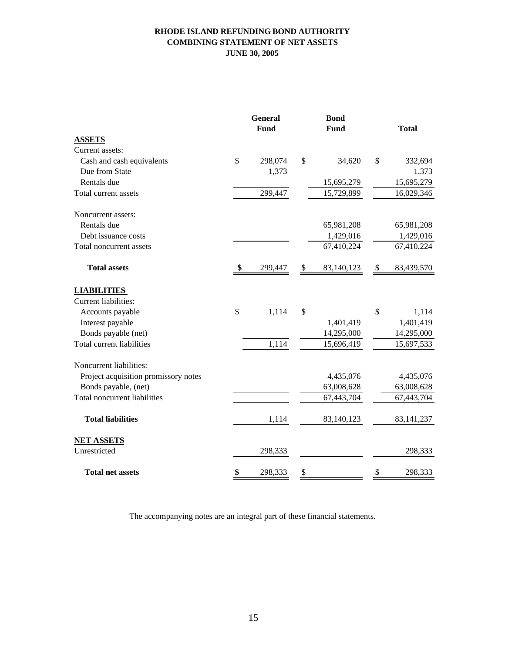## **RHODE ISLAND REFUNDING BOND AUTHORITY COMBINING STATEMENT OF NET ASSETS JUNE 30, 2005**

|                                      | <b>General</b><br><b>Fund</b> |               | <b>Bond</b><br>Fund | <b>Total</b>     |
|--------------------------------------|-------------------------------|---------------|---------------------|------------------|
| <b>ASSETS</b>                        |                               |               |                     |                  |
| Current assets:                      |                               |               |                     |                  |
| Cash and cash equivalents            | \$<br>298,074                 | $\mathsf{\$}$ | 34,620              | \$<br>332,694    |
| Due from State                       | 1,373                         |               |                     | 1,373            |
| Rentals due                          |                               |               | 15,695,279          | 15,695,279       |
| Total current assets                 | 299,447                       |               | 15,729,899          | 16,029,346       |
| Noncurrent assets:                   |                               |               |                     |                  |
| Rentals due                          |                               |               | 65,981,208          | 65,981,208       |
| Debt issuance costs                  |                               |               | 1,429,016           | 1,429,016        |
| Total noncurrent assets              |                               |               | 67,410,224          | 67,410,224       |
| <b>Total assets</b>                  | \$<br>299,447                 | \$            | 83,140,123          | \$<br>83,439,570 |
| <b>LIABILITIES</b>                   |                               |               |                     |                  |
| Current liabilities:                 |                               |               |                     |                  |
| Accounts payable                     | \$<br>1,114                   | \$            |                     | \$<br>1,114      |
| Interest payable                     |                               |               | 1,401,419           | 1,401,419        |
| Bonds payable (net)                  |                               |               | 14,295,000          | 14,295,000       |
| <b>Total current liabilities</b>     | 1,114                         |               | 15,696,419          | 15,697,533       |
| Noncurrent liabilities:              |                               |               |                     |                  |
| Project acquisition promissory notes |                               |               | 4,435,076           | 4,435,076        |
| Bonds payable, (net)                 |                               |               | 63,008,628          | 63,008,628       |
| Total noncurrent liabilities         |                               |               | 67,443,704          | 67,443,704       |
| <b>Total liabilities</b>             | 1,114                         |               | 83,140,123          | 83, 141, 237     |
| <b>NET ASSETS</b>                    |                               |               |                     |                  |
| Unrestricted                         | 298,333                       |               |                     | 298,333          |
| <b>Total net assets</b>              | \$<br>298,333                 | \$            |                     | \$<br>298,333    |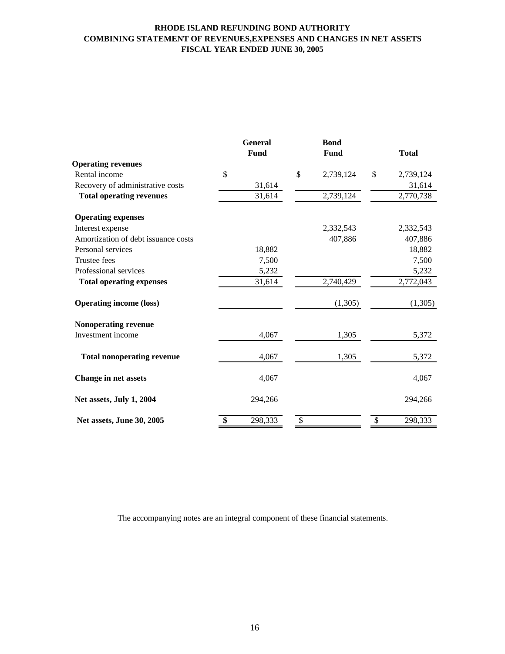## **RHODE ISLAND REFUNDING BOND AUTHORITY COMBINING STATEMENT OF REVENUES,EXPENSES AND CHANGES IN NET ASSETS FISCAL YEAR ENDED JUNE 30, 2005**

|                                     | <b>General</b> | <b>Bond</b>     |                 |
|-------------------------------------|----------------|-----------------|-----------------|
|                                     | Fund           | Fund            | <b>Total</b>    |
| <b>Operating revenues</b>           |                |                 |                 |
| Rental income                       | \$             | \$<br>2,739,124 | \$<br>2,739,124 |
| Recovery of administrative costs    | 31,614         |                 | 31,614          |
| <b>Total operating revenues</b>     | 31,614         | 2,739,124       | 2,770,738       |
| <b>Operating expenses</b>           |                |                 |                 |
| Interest expense                    |                | 2,332,543       | 2,332,543       |
| Amortization of debt issuance costs |                | 407,886         | 407,886         |
| Personal services                   | 18,882         |                 | 18,882          |
| Trustee fees                        | 7,500          |                 | 7,500           |
| Professional services               | 5,232          |                 | 5,232           |
| <b>Total operating expenses</b>     | 31,614         | 2,740,429       | 2,772,043       |
| <b>Operating income (loss)</b>      |                | (1,305)         | (1,305)         |
| Nonoperating revenue                |                |                 |                 |
| Investment income                   | 4,067          | 1,305           | 5,372           |
| <b>Total nonoperating revenue</b>   | 4,067          | 1,305           | 5,372           |
| Change in net assets                | 4,067          |                 | 4,067           |
| Net assets, July 1, 2004            | 294,266        |                 | 294,266         |
| Net assets, June 30, 2005           | 298,333        | \$              | \$<br>298,333   |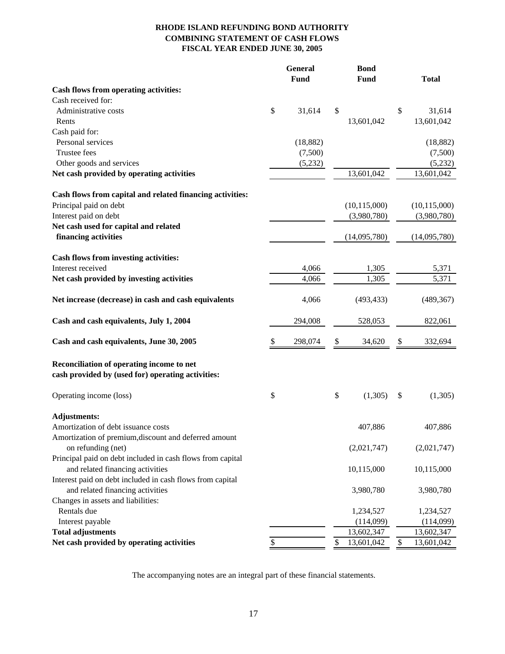## **RHODE ISLAND REFUNDING BOND AUTHORITY COMBINING STATEMENT OF CASH FLOWS FISCAL YEAR ENDED JUNE 30, 2005**

|                                                                                                |               | <b>General</b> | <b>Bond</b>                    |                                |
|------------------------------------------------------------------------------------------------|---------------|----------------|--------------------------------|--------------------------------|
|                                                                                                |               | Fund           | Fund                           | <b>Total</b>                   |
| Cash flows from operating activities:                                                          |               |                |                                |                                |
| Cash received for:                                                                             |               |                |                                |                                |
| Administrative costs                                                                           | \$            | 31,614         | \$                             | \$<br>31,614                   |
| Rents                                                                                          |               |                | 13,601,042                     | 13,601,042                     |
| Cash paid for:                                                                                 |               |                |                                |                                |
| Personal services                                                                              |               | (18, 882)      |                                | (18, 882)                      |
| Trustee fees                                                                                   |               | (7,500)        |                                | (7,500)                        |
| Other goods and services                                                                       |               | (5,232)        |                                | (5,232)                        |
| Net cash provided by operating activities                                                      |               |                | 13,601,042                     | 13,601,042                     |
| Cash flows from capital and related financing activities:                                      |               |                |                                |                                |
| Principal paid on debt                                                                         |               |                | (10, 115, 000)                 | (10, 115, 000)                 |
| Interest paid on debt                                                                          |               |                | (3,980,780)                    | (3,980,780)                    |
| Net cash used for capital and related                                                          |               |                |                                |                                |
| financing activities                                                                           |               |                | (14,095,780)                   | (14,095,780)                   |
| Cash flows from investing activities:                                                          |               |                |                                |                                |
| Interest received                                                                              |               | 4,066          | 1,305                          | 5,371                          |
| Net cash provided by investing activities                                                      |               | 4,066          | 1,305                          | 5,371                          |
| Net increase (decrease) in cash and cash equivalents                                           |               | 4,066          | (493, 433)                     | (489, 367)                     |
| Cash and cash equivalents, July 1, 2004                                                        |               | 294,008        | 528,053                        | 822,061                        |
| Cash and cash equivalents, June 30, 2005                                                       | $\frac{1}{2}$ | 298,074        | \$<br>34,620                   | \$<br>332,694                  |
| Reconciliation of operating income to net<br>cash provided by (used for) operating activities: |               |                |                                |                                |
| Operating income (loss)                                                                        | \$            |                | \$<br>(1,305)                  | \$<br>(1,305)                  |
| <b>Adjustments:</b>                                                                            |               |                |                                |                                |
| Amortization of debt issuance costs                                                            |               |                | 407,886                        | 407,886                        |
| Amortization of premium, discount and deferred amount                                          |               |                |                                |                                |
| on refunding (net)                                                                             |               |                | (2,021,747)                    | (2,021,747)                    |
| Principal paid on debt included in cash flows from capital                                     |               |                |                                |                                |
| and related financing activities                                                               |               |                | 10,115,000                     | 10,115,000                     |
| Interest paid on debt included in cash flows from capital                                      |               |                |                                |                                |
| and related financing activities                                                               |               |                | 3,980,780                      | 3,980,780                      |
| Changes in assets and liabilities:                                                             |               |                |                                |                                |
| Rentals due                                                                                    |               |                | 1,234,527                      | 1,234,527                      |
| Interest payable                                                                               |               |                | (114,099)                      | (114,099)                      |
| <b>Total adjustments</b><br>Net cash provided by operating activities                          | \$            |                | \$<br>13,602,347<br>13,601,042 | \$<br>13,602,347<br>13,601,042 |
|                                                                                                |               |                |                                |                                |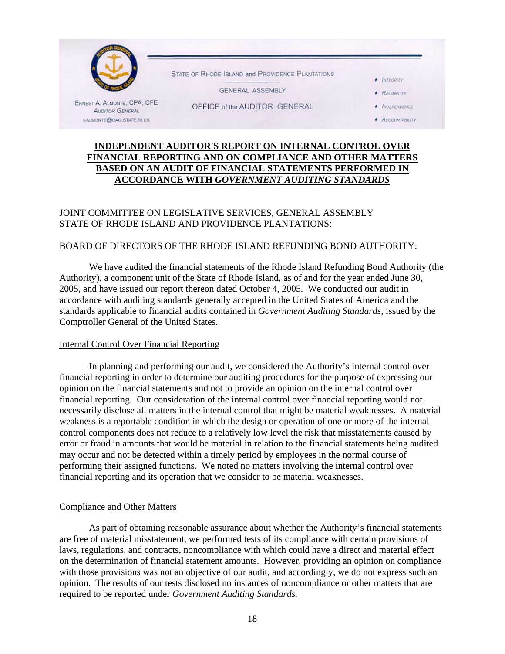

## **INDEPENDENT AUDITOR'S REPORT ON INTERNAL CONTROL OVER FINANCIAL REPORTING AND ON COMPLIANCE AND OTHER MATTERS BASED ON AN AUDIT OF FINANCIAL STATEMENTS PERFORMED IN ACCORDANCE WITH** *GOVERNMENT AUDITING STANDARDS*

## JOINT COMMITTEE ON LEGISLATIVE SERVICES, GENERAL ASSEMBLY STATE OF RHODE ISLAND AND PROVIDENCE PLANTATIONS:

## BOARD OF DIRECTORS OF THE RHODE ISLAND REFUNDING BOND AUTHORITY:

We have audited the financial statements of the Rhode Island Refunding Bond Authority (the Authority), a component unit of the State of Rhode Island, as of and for the year ended June 30, 2005, and have issued our report thereon dated October 4, 2005. We conducted our audit in accordance with auditing standards generally accepted in the United States of America and the standards applicable to financial audits contained in *Government Auditing Standards*, issued by the Comptroller General of the United States.

## Internal Control Over Financial Reporting

In planning and performing our audit, we considered the Authority's internal control over financial reporting in order to determine our auditing procedures for the purpose of expressing our opinion on the financial statements and not to provide an opinion on the internal control over financial reporting. Our consideration of the internal control over financial reporting would not necessarily disclose all matters in the internal control that might be material weaknesses. A material weakness is a reportable condition in which the design or operation of one or more of the internal control components does not reduce to a relatively low level the risk that misstatements caused by error or fraud in amounts that would be material in relation to the financial statements being audited may occur and not be detected within a timely period by employees in the normal course of performing their assigned functions. We noted no matters involving the internal control over financial reporting and its operation that we consider to be material weaknesses.

## Compliance and Other Matters

As part of obtaining reasonable assurance about whether the Authority's financial statements are free of material misstatement, we performed tests of its compliance with certain provisions of laws, regulations, and contracts, noncompliance with which could have a direct and material effect on the determination of financial statement amounts. However, providing an opinion on compliance with those provisions was not an objective of our audit, and accordingly, we do not express such an opinion. The results of our tests disclosed no instances of noncompliance or other matters that are required to be reported under *Government Auditing Standards.*